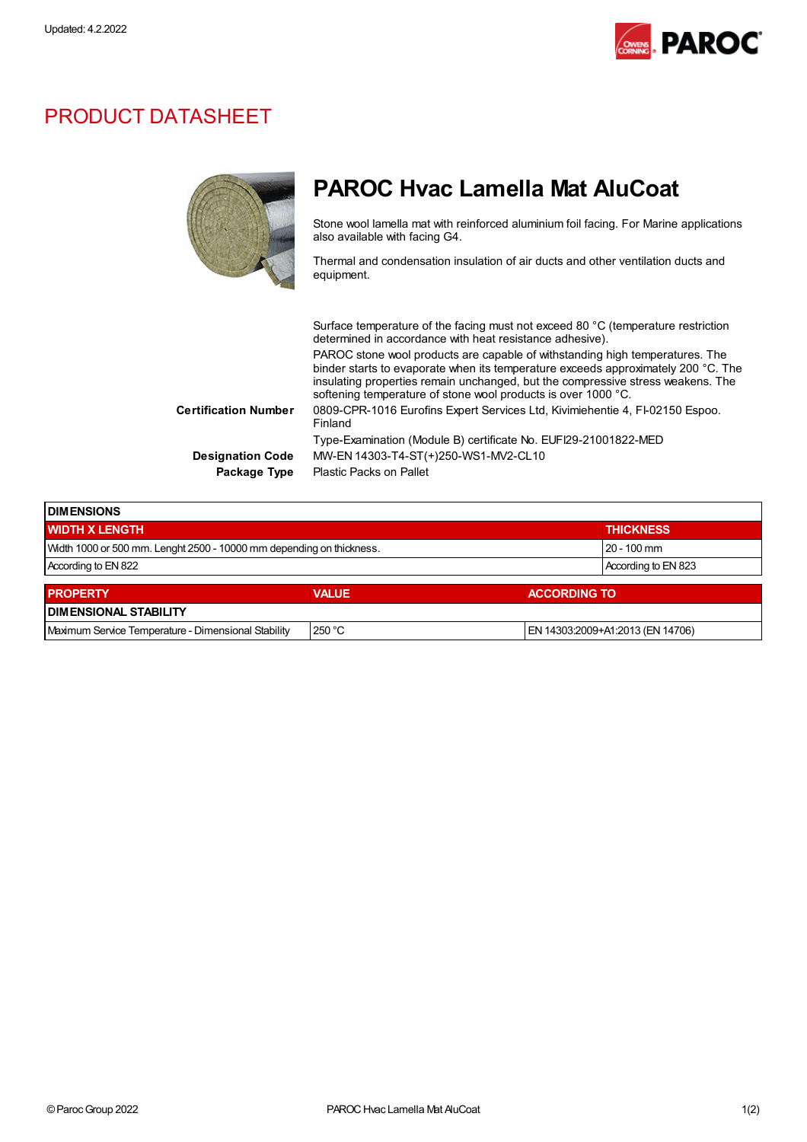

## PRODUCT DATASHEET

|                             | <b>PAROC Hyac Lamella Mat AluCoat</b>                                                                                                                                                                                                                                                                                 |
|-----------------------------|-----------------------------------------------------------------------------------------------------------------------------------------------------------------------------------------------------------------------------------------------------------------------------------------------------------------------|
|                             | Stone wool lamella mat with reinforced aluminium foil facing. For Marine applications<br>also available with facing G4.                                                                                                                                                                                               |
|                             | Thermal and condensation insulation of air ducts and other ventilation ducts and<br>equipment.                                                                                                                                                                                                                        |
|                             | Surface temperature of the facing must not exceed 80 °C (temperature restriction                                                                                                                                                                                                                                      |
|                             | determined in accordance with heat resistance adhesive).                                                                                                                                                                                                                                                              |
|                             | PAROC stone wool products are capable of withstanding high temperatures. The<br>binder starts to evaporate when its temperature exceeds approximately 200 °C. The<br>insulating properties remain unchanged, but the compressive stress weakens. The<br>softening temperature of stone wool products is over 1000 °C. |
| <b>Certification Number</b> | 0809-CPR-1016 Eurofins Expert Services Ltd, Kivimiehentie 4, FI-02150 Espoo.<br>Finland                                                                                                                                                                                                                               |
|                             | Type-Examination (Module B) certificate No. EUFI29-21001822-MED                                                                                                                                                                                                                                                       |
| <b>Designation Code</b>     | MW-EN 14303-T4-ST(+)250-WS1-MV2-CL10                                                                                                                                                                                                                                                                                  |
| Package Type                | <b>Plastic Packs on Pallet</b>                                                                                                                                                                                                                                                                                        |

| <b>I DIMENSIONS</b>                                                  |                     |                                  |  |  |  |
|----------------------------------------------------------------------|---------------------|----------------------------------|--|--|--|
| <b>WIDTH X LENGTH</b>                                                | <b>THICKNESS</b>    |                                  |  |  |  |
| Width 1000 or 500 mm. Lenght 2500 - 10000 mm depending on thickness. | 20 - 100 mm         |                                  |  |  |  |
| According to EN 822                                                  | According to EN 823 |                                  |  |  |  |
| <b>PROPERTY</b>                                                      | <b>VALUE</b>        | <b>ACCORDING TO</b>              |  |  |  |
| <b>DIMENSIONAL STABILITY</b>                                         |                     |                                  |  |  |  |
| Maximum Service Temperature - Dimensional Stability                  | 250 °C              | EN 14303:2009+A1:2013 (EN 14706) |  |  |  |